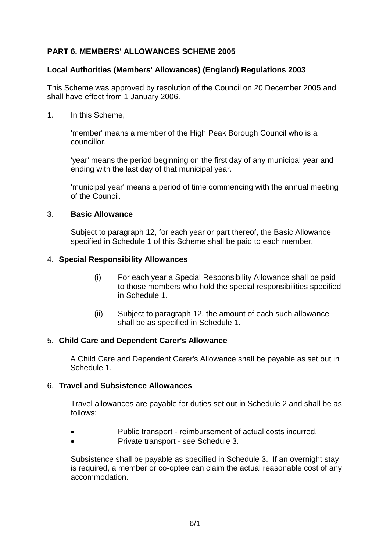# **PART 6. MEMBERS' ALLOWANCES SCHEME 2005**

## **Local Authorities (Members' Allowances) (England) Regulations 2003**

This Scheme was approved by resolution of the Council on 20 December 2005 and shall have effect from 1 January 2006.

1. In this Scheme,

'member' means a member of the High Peak Borough Council who is a councillor.

'year' means the period beginning on the first day of any municipal year and ending with the last day of that municipal year.

'municipal year' means a period of time commencing with the annual meeting of the Council.

#### 3. **Basic Allowance**

Subject to paragraph 12, for each year or part thereof, the Basic Allowance specified in Schedule 1 of this Scheme shall be paid to each member.

#### 4. **Special Responsibility Allowances**

- (i) For each year a Special Responsibility Allowance shall be paid to those members who hold the special responsibilities specified in Schedule 1.
- (ii) Subject to paragraph 12, the amount of each such allowance shall be as specified in Schedule 1.

#### 5. **Child Care and Dependent Carer's Allowance**

A Child Care and Dependent Carer's Allowance shall be payable as set out in Schedule 1.

#### 6. **Travel and Subsistence Allowances**

Travel allowances are payable for duties set out in Schedule 2 and shall be as follows:

- Public transport reimbursement of actual costs incurred.
- Private transport see Schedule 3.

Subsistence shall be payable as specified in Schedule 3. If an overnight stay is required, a member or co-optee can claim the actual reasonable cost of any accommodation.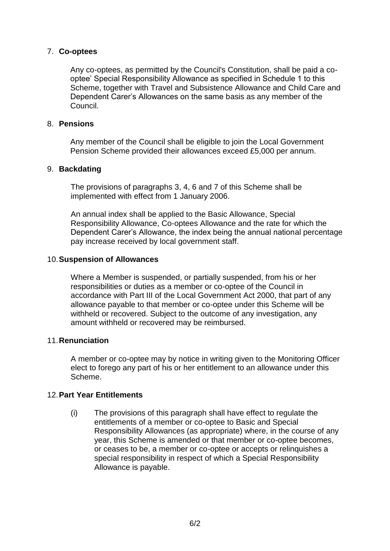## 7. **Co-optees**

Any co-optees, as permitted by the Council's Constitution, shall be paid a cooptee' Special Responsibility Allowance as specified in Schedule 1 to this Scheme, together with Travel and Subsistence Allowance and Child Care and Dependent Carer's Allowances on the same basis as any member of the Council.

#### 8. **Pensions**

Any member of the Council shall be eligible to join the Local Government Pension Scheme provided their allowances exceed £5,000 per annum.

#### 9. **Backdating**

The provisions of paragraphs 3, 4, 6 and 7 of this Scheme shall be implemented with effect from 1 January 2006.

An annual index shall be applied to the Basic Allowance, Special Responsibility Allowance, Co-optees Allowance and the rate for which the Dependent Carer's Allowance, the index being the annual national percentage pay increase received by local government staff.

#### 10.**Suspension of Allowances**

Where a Member is suspended, or partially suspended, from his or her responsibilities or duties as a member or co-optee of the Council in accordance with Part III of the Local Government Act 2000, that part of any allowance payable to that member or co-optee under this Scheme will be withheld or recovered. Subject to the outcome of any investigation, any amount withheld or recovered may be reimbursed.

## 11.**Renunciation**

A member or co-optee may by notice in writing given to the Monitoring Officer elect to forego any part of his or her entitlement to an allowance under this Scheme.

#### 12.**Part Year Entitlements**

(i) The provisions of this paragraph shall have effect to regulate the entitlements of a member or co-optee to Basic and Special Responsibility Allowances (as appropriate) where, in the course of any year, this Scheme is amended or that member or co-optee becomes, or ceases to be, a member or co-optee or accepts or relinquishes a special responsibility in respect of which a Special Responsibility Allowance is payable.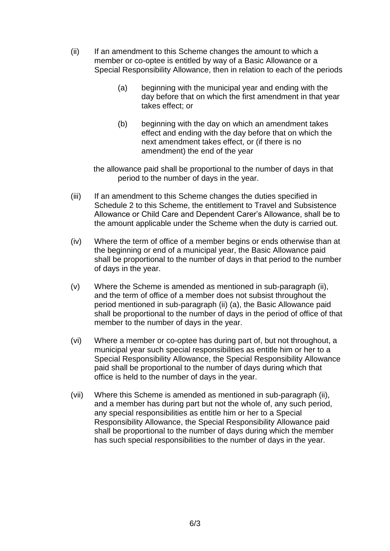- (ii) If an amendment to this Scheme changes the amount to which a member or co-optee is entitled by way of a Basic Allowance or a Special Responsibility Allowance, then in relation to each of the periods
	- (a) beginning with the municipal year and ending with the day before that on which the first amendment in that year takes effect; or
	- (b) beginning with the day on which an amendment takes effect and ending with the day before that on which the next amendment takes effect, or (if there is no amendment) the end of the year

the allowance paid shall be proportional to the number of days in that period to the number of days in the year.

- (iii) If an amendment to this Scheme changes the duties specified in Schedule 2 to this Scheme, the entitlement to Travel and Subsistence Allowance or Child Care and Dependent Carer's Allowance, shall be to the amount applicable under the Scheme when the duty is carried out.
- (iv) Where the term of office of a member begins or ends otherwise than at the beginning or end of a municipal year, the Basic Allowance paid shall be proportional to the number of days in that period to the number of days in the year.
- (v) Where the Scheme is amended as mentioned in sub-paragraph (ii), and the term of office of a member does not subsist throughout the period mentioned in sub-paragraph (ii) (a), the Basic Allowance paid shall be proportional to the number of days in the period of office of that member to the number of days in the year.
- (vi) Where a member or co-optee has during part of, but not throughout, a municipal year such special responsibilities as entitle him or her to a Special Responsibility Allowance, the Special Responsibility Allowance paid shall be proportional to the number of days during which that office is held to the number of days in the year.
- (vii) Where this Scheme is amended as mentioned in sub-paragraph (ii), and a member has during part but not the whole of, any such period, any special responsibilities as entitle him or her to a Special Responsibility Allowance, the Special Responsibility Allowance paid shall be proportional to the number of days during which the member has such special responsibilities to the number of days in the year.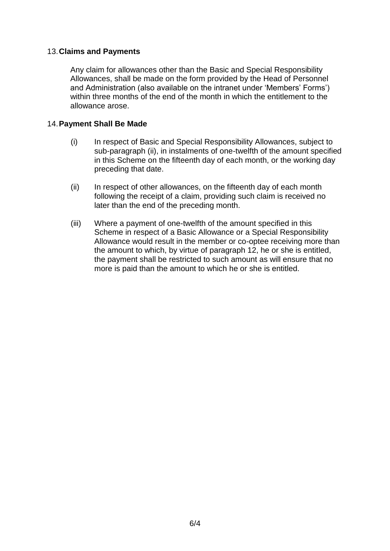## 13.**Claims and Payments**

Any claim for allowances other than the Basic and Special Responsibility Allowances, shall be made on the form provided by the Head of Personnel and Administration (also available on the intranet under 'Members' Forms') within three months of the end of the month in which the entitlement to the allowance arose.

#### 14.**Payment Shall Be Made**

- (i) In respect of Basic and Special Responsibility Allowances, subject to sub-paragraph (ii), in instalments of one-twelfth of the amount specified in this Scheme on the fifteenth day of each month, or the working day preceding that date.
- (ii) In respect of other allowances, on the fifteenth day of each month following the receipt of a claim, providing such claim is received no later than the end of the preceding month.
- (iii) Where a payment of one-twelfth of the amount specified in this Scheme in respect of a Basic Allowance or a Special Responsibility Allowance would result in the member or co-optee receiving more than the amount to which, by virtue of paragraph 12, he or she is entitled, the payment shall be restricted to such amount as will ensure that no more is paid than the amount to which he or she is entitled.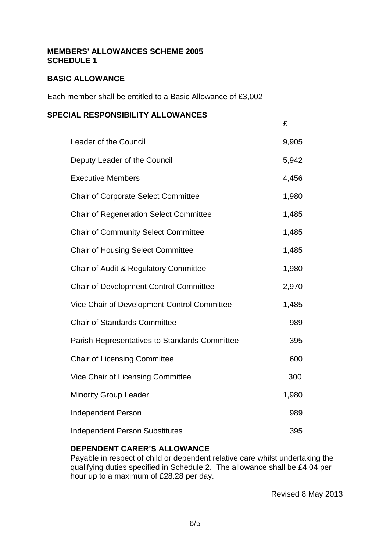#### **MEMBERS' ALLOWANCES SCHEME 2005 SCHEDULE 1**

# **BASIC ALLOWANCE**

Each member shall be entitled to a Basic Allowance of £3,002

#### **SPECIAL RESPONSIBILITY ALLOWANCES**

|                                               | £     |
|-----------------------------------------------|-------|
| Leader of the Council                         | 9,905 |
| Deputy Leader of the Council                  |       |
| <b>Executive Members</b>                      | 4,456 |
| <b>Chair of Corporate Select Committee</b>    |       |
| <b>Chair of Regeneration Select Committee</b> |       |
| <b>Chair of Community Select Committee</b>    |       |
| <b>Chair of Housing Select Committee</b>      | 1,485 |
| Chair of Audit & Regulatory Committee         | 1,980 |
| <b>Chair of Development Control Committee</b> | 2,970 |
| Vice Chair of Development Control Committee   | 1,485 |
| <b>Chair of Standards Committee</b>           |       |
| Parish Representatives to Standards Committee | 395   |
| <b>Chair of Licensing Committee</b>           | 600   |
| Vice Chair of Licensing Committee             |       |
| <b>Minority Group Leader</b>                  | 1,980 |
| <b>Independent Person</b>                     |       |
| <b>Independent Person Substitutes</b>         |       |

## **DEPENDENT CARER'S ALLOWANCE**

Payable in respect of child or dependent relative care whilst undertaking the qualifying duties specified in Schedule 2. The allowance shall be £4.04 per hour up to a maximum of £28.28 per day.

Revised 8 May 2013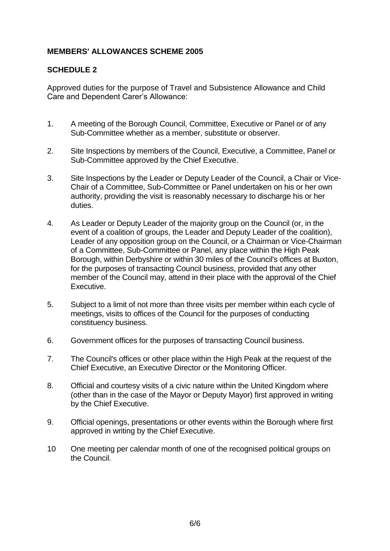# **MEMBERS' ALLOWANCES SCHEME 2005**

## **SCHEDULE 2**

Approved duties for the purpose of Travel and Subsistence Allowance and Child Care and Dependent Carer's Allowance:

- 1. A meeting of the Borough Council, Committee, Executive or Panel or of any Sub-Committee whether as a member, substitute or observer.
- 2. Site Inspections by members of the Council, Executive, a Committee, Panel or Sub-Committee approved by the Chief Executive.
- 3. Site Inspections by the Leader or Deputy Leader of the Council, a Chair or Vice-Chair of a Committee, Sub-Committee or Panel undertaken on his or her own authority, providing the visit is reasonably necessary to discharge his or her duties.
- 4. As Leader or Deputy Leader of the majority group on the Council (or, in the event of a coalition of groups, the Leader and Deputy Leader of the coalition), Leader of any opposition group on the Council, or a Chairman or Vice-Chairman of a Committee, Sub-Committee or Panel, any place within the High Peak Borough, within Derbyshire or within 30 miles of the Council's offices at Buxton, for the purposes of transacting Council business, provided that any other member of the Council may, attend in their place with the approval of the Chief Executive.
- 5. Subject to a limit of not more than three visits per member within each cycle of meetings, visits to offices of the Council for the purposes of conducting constituency business.
- 6. Government offices for the purposes of transacting Council business.
- 7. The Council's offices or other place within the High Peak at the request of the Chief Executive, an Executive Director or the Monitoring Officer.
- 8. Official and courtesy visits of a civic nature within the United Kingdom where (other than in the case of the Mayor or Deputy Mayor) first approved in writing by the Chief Executive.
- 9. Official openings, presentations or other events within the Borough where first approved in writing by the Chief Executive.
- 10 One meeting per calendar month of one of the recognised political groups on the Council.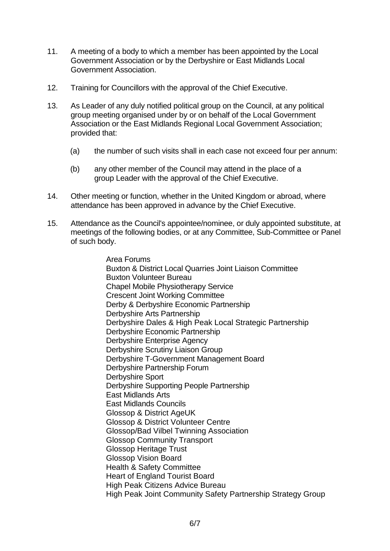- 11. A meeting of a body to which a member has been appointed by the Local Government Association or by the Derbyshire or East Midlands Local Government Association.
- 12. Training for Councillors with the approval of the Chief Executive.
- 13. As Leader of any duly notified political group on the Council, at any political group meeting organised under by or on behalf of the Local Government Association or the East Midlands Regional Local Government Association; provided that:
	- (a) the number of such visits shall in each case not exceed four per annum:
	- (b) any other member of the Council may attend in the place of a group Leader with the approval of the Chief Executive.
- 14. Other meeting or function, whether in the United Kingdom or abroad, where attendance has been approved in advance by the Chief Executive.
- 15. Attendance as the Council's appointee/nominee, or duly appointed substitute, at meetings of the following bodies, or at any Committee, Sub-Committee or Panel of such body.

Area Forums Buxton & District Local Quarries Joint Liaison Committee Buxton Volunteer Bureau Chapel Mobile Physiotherapy Service Crescent Joint Working Committee Derby & Derbyshire Economic Partnership Derbyshire Arts Partnership Derbyshire Dales & High Peak Local Strategic Partnership Derbyshire Economic Partnership Derbyshire Enterprise Agency Derbyshire Scrutiny Liaison Group Derbyshire T-Government Management Board Derbyshire Partnership Forum Derbyshire Sport Derbyshire Supporting People Partnership East Midlands Arts East Midlands Councils Glossop & District AgeUK Glossop & District Volunteer Centre Glossop/Bad Vilbel Twinning Association Glossop Community Transport Glossop Heritage Trust Glossop Vision Board Health & Safety Committee Heart of England Tourist Board High Peak Citizens Advice Bureau High Peak Joint Community Safety Partnership Strategy Group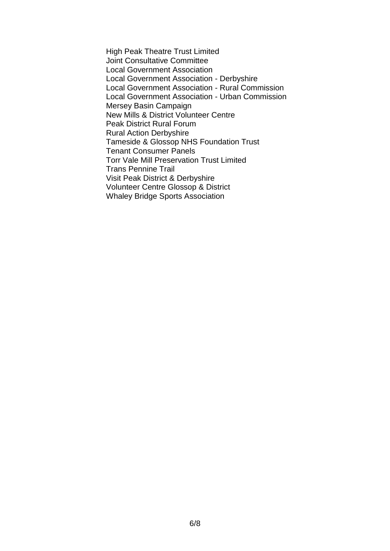High Peak Theatre Trust Limited Joint Consultative Committee Local Government Association Local Government Association - Derbyshire Local Government Association - Rural Commission Local Government Association - Urban Commission Mersey Basin Campaign New Mills & District Volunteer Centre Peak District Rural Forum Rural Action Derbyshire Tameside & Glossop NHS Foundation Trust Tenant Consumer Panels Torr Vale Mill Preservation Trust Limited Trans Pennine Trail Visit Peak District & Derbyshire Volunteer Centre Glossop & District Whaley Bridge Sports Association